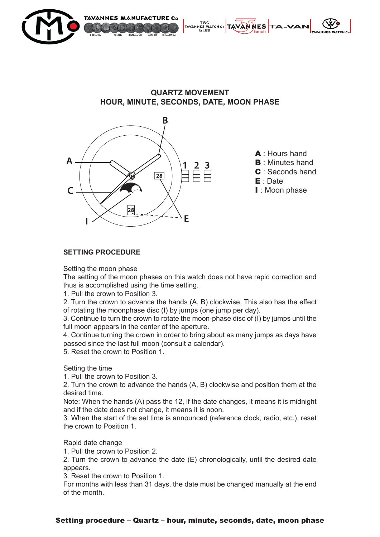

**QUARTZ MOVEMENT HOUR, MINUTE, SECONDS, DATE, MOON PHASE**



A : Hours hand **B** : Minutes hand C : Seconds hand E : Date

I: Moon phase

## **SETTING PROCEDURE**

Setting the moon phase

The setting of the moon phases on this watch does not have rapid correction and thus is accomplished using the time setting.

1. Pull the crown to Position 3.

2. Turn the crown to advance the hands (A, B) clockwise. This also has the effect of rotating the moonphase disc (I) by jumps (one jump per day).

3. Continue to turn the crown to rotate the moon-phase disc of (I) by jumps until the full moon appears in the center of the aperture.

4. Continue turning the crown in order to bring about as many jumps as days have passed since the last full moon (consult a calendar).

5. Reset the crown to Position 1.

Setting the time

1. Pull the crown to Position 3.

2. Turn the crown to advance the hands (A, B) clockwise and position them at the desired time.

Note: When the hands (A) pass the 12, if the date changes, it means it is midnight and if the date does not change, it means it is noon.

3. When the start of the set time is announced (reference clock, radio, etc.), reset the crown to Position 1.

Rapid date change

1. Pull the crown to Position 2.

2. Turn the crown to advance the date (E) chronologically, until the desired date appears.

3. Reset the crown to Position 1.

For months with less than 31 days, the date must be changed manually at the end of the month.